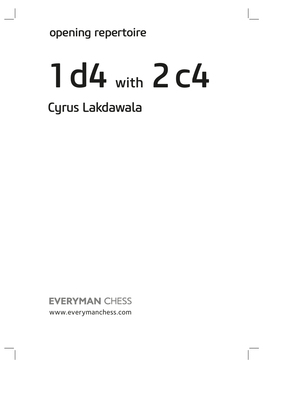opening repertoire

# 1d4 with 2c4 Cyrus Lakdawala

**EVERYMAN CHESS** www.everymanchess.com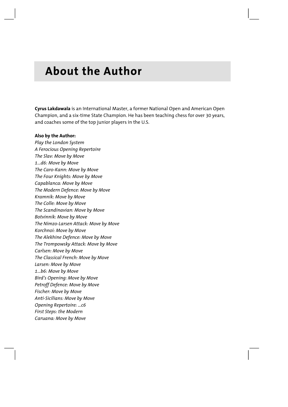# **About the Author**

**Cyrus Lakdawala** is an International Master, a former National Open and American Open Champion, and a six-time State Champion. He has been teaching chess for over 30 years, and coaches some of the top junior players in the U.S.

#### **Also by the Author:**

*Play the London System A Ferocious Opening Repertoire The Slav: Move by Move 1...d6: Move by Move The Caro-Kann: Move by Move The Four Knights: Move by Move Capablanca: Move by Move The Modern Defence: Move by Move Kramnik: Move by Move The Colle: Move by Move The Scandinavian: Move by Move Botvinnik: Move by Move The Nimzo-Larsen Attack: Move by Move Korchnoi: Move by Move The Alekhine Defence: Move by Move The Trompowsky Attack: Move by Move Carlsen: Move by Move The Classical French: Move by Move Larsen: Move by Move 1...b6: Move by Move Bird's Opening: Move by Move Petroff Defence: Move by Move Fischer: Move by Move Anti-Sicilians: Move by Move Opening Repertoire: ...c6 First Steps: the Modern Caruana: Move by Move*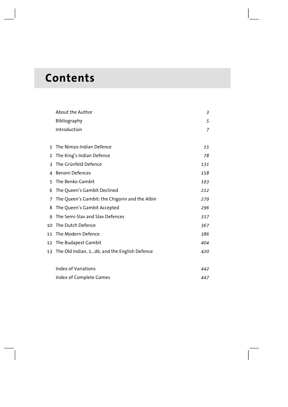# **Contents**

|              | About the Author                               | 3   |
|--------------|------------------------------------------------|-----|
|              | Bibliography                                   | 5   |
|              | Introduction                                   | 7   |
|              |                                                |     |
| $\mathbf{1}$ | The Nimzo-Indian Defence                       | 15  |
| 2            | The King's Indian Defence                      | 78  |
| 3            | The Grünfeld Defence                           | 131 |
| 4            | <b>Benoni Defences</b>                         | 158 |
| 5            | The Benko Gambit                               | 193 |
| 6            | The Queen's Gambit Declined                    | 212 |
| 7            | The Queen's Gambit: the Chigorin and the Albin | 279 |
| 8            | The Queen's Gambit Accepted                    | 296 |
| q            | The Semi-Slav and Slav Defences                | 317 |
| 10           | The Dutch Defence                              | 367 |
| 11           | The Modern Defence                             | 386 |
| 12           | The Budapest Gambit                            | 404 |
| 13           | The Old Indian, 1d6, and the English Defence   | 420 |
|              | <b>Index of Variations</b>                     | 442 |
|              | Index of Complete Games                        | 447 |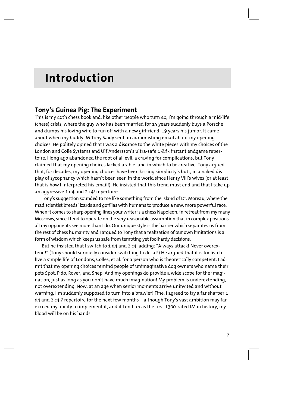# **Introduction**

# **Tony's Guinea Pig: The Experiment**

This is my 40th chess book and, like other people who turn 40, I'm going through a mid-life (chess) crisis, where the guy who has been married for 15 years suddenly buys a Porsche and dumps his loving wife to run off with a new girlfriend, 19 years his junior. It came about when my buddy IM Tony Saidy sent an admonishing email about my opening choices. He politely opined that I was a disgrace to the white pieces with my choices of the London and Colle Systems and Ulf Andersson's ultra-safe 1 \f2f3 instant endgame repertoire. I long ago abandoned the root of all evil, a craving for complications, but Tony claimed that my opening choices lacked arable land in which to be creative. Tony argued that, for decades, my opening choices have been kissing simplicity's butt, in a naked display of sycophancy which hasn't been seen in the world since Henry VIII's wives (or at least that is how I interpreted his email!). He insisted that this trend must end and that I take up an aggressive 1 d4 and 2 c4! repertoire.

Tony's suggestion sounded to me like something from the Island of Dr. Moreau, where the mad scientist breeds lizards and gorillas with humans to produce a new, more powerful race. When it comes to sharp opening lines your writer is a chess Napoleon: in retreat from my many Moscows, since I tend to operate on the very reasonable assumption that in complex positions all my opponents see more than I do. Our unique style is the barrier which separates us from the rest of chess humanity and I argued to Tony that a realization of our own limitations is a form of wisdom which keeps us safe from tempting yet foolhardy decisions.

But he insisted that I switch to 1 d4 and 2 c4, adding: "Always attack! Never overextend!" (Tony should seriously consider switching to decaf!) He argued that it is foolish to live a simple life of Londons, Colles, et al. for a person who is theoretically competent. I admit that my opening choices remind people of unimaginative dog owners who name their pets Spot, Fido, Rover, and Shep. And my openings do provide a wide scope for the imagination, just as long as you don't have much imagination! My problem is underextending, not overextending. Now, at an age when senior moments arrive uninvited and without warning, I'm suddenly supposed to turn into a brawler! Fine. I agreed to try a far sharper 1 d4 and 2 c4!? repertoire for the next few months – although Tony's vast ambition may far exceed my ability to implement it, and if I end up as the first 1300-rated IM in history, my blood will be on his hands.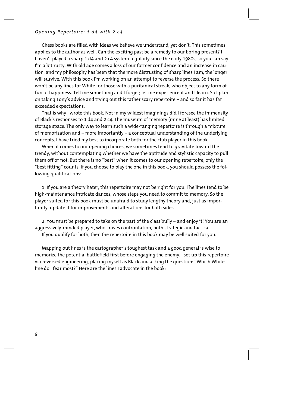Chess books are filled with ideas we believe we understand, yet don't. This sometimes applies to the author as well. Can the exciting past be a remedy to our boring present? I haven't played a sharp 1 d4 and 2 c4 system regularly since the early 1980s, so you can say I'm a bit rusty. With old age comes a loss of our former confidence and an increase in caution, and my philosophy has been that the more distrusting of sharp lines I am, the longer I will survive. With this book I'm working on an attempt to reverse the process. So there won't be any lines for White for those with a puritanical streak, who object to any form of fun or happiness. Tell me something and I forget; let me experience it and I learn. So I plan on taking Tony's advice and trying out this rather scary repertoire – and so far it has far exceeded expectations.

That is why I wrote this book. Not in my wildest imaginings did I foresee the immensity of Black's responses to 1 d4 and 2 c4. The museum of memory (mine at least) has limited storage space. The only way to learn such a wide-ranging repertoire is through a mixture of memorization and – more importantly – a conceptual understanding of the underlying concepts. I have tried my best to incorporate both for the club player in this book.

When it comes to our opening choices, we sometimes tend to gravitate toward the trendy, without contemplating whether we have the aptitude and stylistic capacity to pull them off or not. But there is no "best" when it comes to our opening repertoire, only the "best fitting" counts. If you choose to play the one in this book, you should possess the following qualifications:

1. If you are a theory hater, this repertoire may not be right for you. The lines tend to be high-maintenance intricate dances, whose steps you need to commit to memory. So the player suited for this book must be unafraid to study lengthy theory and, just as importantly, update it for improvements and alterations for both sides.

2. You must be prepared to take on the part of the class bully – and enjoy it! You are an aggressively-minded player, who craves confrontation, both strategic and tactical.

If you qualify for both, then the repertoire in this book may be well suited for you.

Mapping out lines is the cartographer's toughest task and a good general is wise to memorize the potential battlefield first before engaging the enemy. I set up this repertoire via reversed engineering, placing myself as Black and asking the question: "Which White line do I fear most?" Here are the lines I advocate in the book: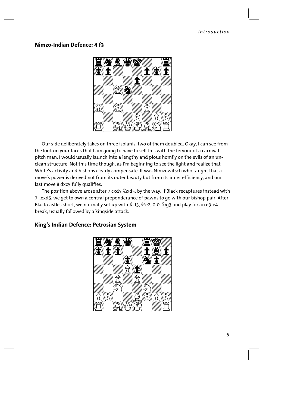# **Nimzo-Indian Defence: 4 f3**



Our side deliberately takes on three isolanis, two of them doubled. Okay, I can see from the look on your faces that I am going to have to sell this with the fervour of a carnival pitch man. I would usually launch into a lengthy and pious homily on the evils of an unclean structure. Not this time though, as I'm beginning to see the light and realize that White's activity and bishops clearly compensate. It was Nimzowitsch who taught that a move's power is derived not from its outer beauty but from its inner efficiency, and our last move 8 dxc5 fully qualifies.

The position above arose after 7 cxd5  $\&$ xd5, by the way. If Black recaptures instead with 7...exd5, we get to own a central preponderance of pawns to go with our bishop pair. After Black castles short, we normally set up with  $\triangle d3$ ,  $\triangle e2$ , 0-0,  $\triangle g3$  and play for an e3-e4 break, usually followed by a kingside attack.

# $W_\mu$  , and  $W_\mu$  are the set of the set of the set of the set of the set of the set of the set of the set of the set of the set of the set of the set of the set of the set of the set of the set of the set of the set of t  $\mathbf{F} \mathbf{A} \mathbf{A} \mathbf{B}$  ,  $\mathbf{F} \mathbf{B}$  ,  $\mathbf{F}$  $\mathbf{E}$   $\mathbf{f}$   $\mathbf{f}$   $\mathbf{w}$   $\mathbf{f}$   $\mathbf{g}$   $\mathbf{f}$  $\mathbf{F}$  of  $\mathbf{F}$ and the contract of the contract of the contract of the contract of the contract of the contract of the contract of the contract of the contract of the contract of the contract of the contract of the contract of the contra and the contract of the contract of the contract of the contract of the contract of the contract of the contract of the contract of the contract of the contract of the contract of the contract of the contract of the contra and the contract of the contract of the contract of the contract of the contract of the contract of the contract of the contract of the contract of the contract of the contract of the contract of the contract of the contra ELEN WARE E  $\Xi$   $\Xi$   $\Xi$ W--------W

# **King's Indian Defence: Petrosian System**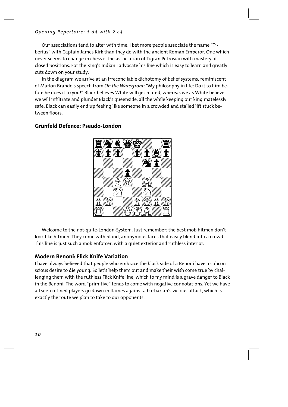Our associations tend to alter with time. I bet more people associate the name "Tiberius" with Captain James Kirk than they do with the ancient Roman Emperor. One which never seems to change in chess is the association of Tigran Petrosian with mastery of closed positions. For the King's Indian I advocate his line which is easy to learn and greatly cuts down on your study.

In the diagram we arrive at an irreconcilable dichotomy of belief systems, reminiscent of Marlon Brando's speech from *On the Waterfront*: "My philosophy in life: Do it to him before he does it to you!" Black believes White will get mated, whereas we as White believe we will infiltrate and plunder Black's queenside, all the while keeping our king matelessly safe. Black can easily end up feeling like someone in a crowded and stalled lift stuck between floors.



# **Grünfeld Defence: Pseudo-London**

Welcome to the not-quite-London-System. Just remember: the best mob hitmen don't look like hitmen. They come with bland, anonymous faces that easily blend into a crowd. This line is just such a mob enforcer, with a quiet exterior and ruthless interior.

# **Modern Benoni: Flick Knife Variation**

I have always believed that people who embrace the black side of a Benoni have a subconscious desire to die young. So let's help them out and make their wish come true by challenging them with the ruthless Flick Knife line, which to my mind is a grave danger to Black in the Benoni. The word "primitive" tends to come with negative connotations. Yet we have all seen refined players go down in flames against a barbarian's vicious attack, which is exactly the route we plan to take to our opponents.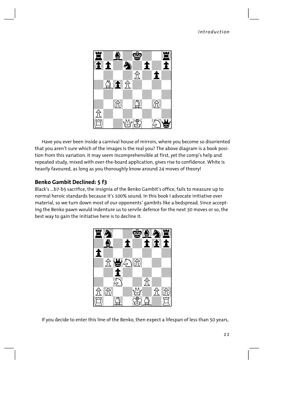

Have you ever been inside a carnival house of mirrors, where you become so disoriented that you aren't sure which of the images is the real you? The above diagram is a book position from this variation. It may seem incomprehensible at first, yet the comp's help and repeated study, mixed with over-the-board application, gives rise to confidence. White is heavily favoured, as long as you thoroughly know around 24 moves of theory!

# **Benko Gambit Declined: 5 f3**

Black's ...b7-b5 sacrifice, the insignia of the Benko Gambit's office, fails to measure up to normal heroic standards because it's 100% sound. In this book I advocate initiative over material, so we turn down most of our opponents' gambits like a bedspread. Since accepting the Benko pawn would indenture us to servile defence for the next 30 moves or so, the best way to gain the initiative here is to decline it.



If you decide to enter this line of the Benko, then expect a lifespan of less than 50 years,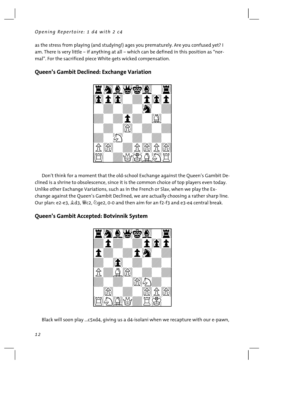as the stress from playing (and studying!) ages you prematurely. Are you confused yet? I am. There is very little – if anything at all – which can be defined in this position as "normal". For the sacrificed piece White gets wicked compensation.



# **Queen's Gambit Declined: Exchange Variation**

Don't think for a moment that the old-school Exchange against the Queen's Gambit Declined is a shrine to obsolescence, since it is the common choice of top players even today. Unlike other Exchange Variations, such as in the French or Slav, when we play the Exchange against the Queen's Gambit Declined, we are actually choosing a rather sharp line. Our plan: e2-e3,  $\triangle d3$ ,  $\triangle 2$ ,  $\triangle$  ge2, 0-0 and then aim for an f2-f3 and e3-e4 central break.

# **Queen's Gambit Accepted: Botvinnik System**



Black will soon play ...c5xd4, giving us a d4-isolani when we recapture with our e-pawn,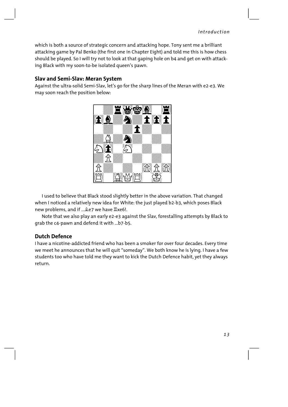which is both a source of strategic concern and attacking hope. Tony sent me a brilliant attacking game by Pal Benko (the first one in Chapter Eight) and told me this is how chess should be played. So I will try not to look at that gaping hole on b4 and get on with attacking Black with my soon-to-be isolated queen's pawn.

# **Slav and Semi-Slav: Meran System**

Against the ultra-solid Semi-Slav, let's go for the sharp lines of the Meran with e2-e3. We may soon reach the position below:



I used to believe that Black stood slightly better in the above variation. That changed when I noticed a relatively new idea for White: the just played b2-b3, which poses Black new problems, and if ... $\triangle$ e7 we have  $\triangle$ xe6!.

Note that we also play an early e2-e3 against the Slav, forestalling attempts by Black to grab the c4-pawn and defend it with ...b7-b5.

# **Dutch Defence**

I have a nicotine-addicted friend who has been a smoker for over four decades. Every time we meet he announces that he will quit "someday". We both know he is lying. I have a few students too who have told me they want to kick the Dutch Defence habit, yet they always return.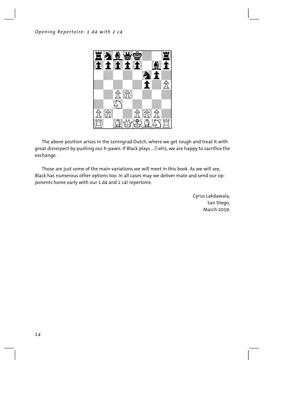

The above position arises in the Leningrad Dutch, where we get rough and treat it with great disrespect by pushing our h-pawn. If Black plays ...  $\triangle x$ h5, we are happy to sacrifice the exchange.

Those are just some of the main variations we will meet in this book. As we will see, Black has numerous other options too. In all cases may we deliver mate and send our opponents home early with our 1 d4 and 2 c4! repertoire.

> Cyrus Lakdawala, San Diego, March 2019.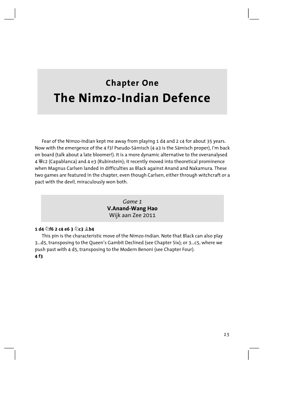# **Chapter One The Nimzo-Indian Defence**

Fear of the Nimzo-Indian kept me away from playing 1 d4 and 2 c4 for about 35 years. Now with the emergence of the 4 f3! Pseudo-Sämisch (4 a3 is the Sämisch proper), I'm back on board (talk about a late bloomer!). It is a more dynamic alternative to the overanalysed 4 Ëc2 (Capablanca) and 4 e3 (Rubinstein); it recently moved into theoretical prominence when Magnus Carlsen landed in difficulties as Black against Anand and Nakamura. These two games are featured in the chapter, even though Carlsen, either through witchcraft or a pact with the devil, miraculously won both.

> *Game 1*  **V.Anand-Wang Hao**  Wijk aan Zee 2011

#### **1 d4 Ìf6 2 c4 e6 3 Ìc3 Íb4**

This pin is the characteristic move of the Nimzo-Indian. Note that Black can also play 3...d5, transposing to the Queen's Gambit Declined (see Chapter Six); or 3...c5, where we push past with 4 d5, transposing to the Modern Benoni (see Chapter Four). **4 f3**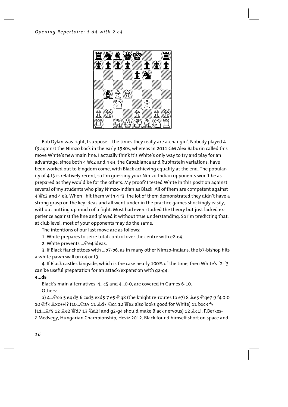

Bob Dylan was right, I suppose – the times they really are a-changin'. Nobody played 4 f3 against the Nimzo back in the early 1980s, whereas in 2011 GM Alex Baburin called this move White's new main line. I actually think it's White's only way to try and play for an advantage, since both 4  $\ddot{w}$ c2 and 4 e3, the Capablanca and Rubinstein variations, have been worked out to kingdom come, with Black achieving equality at the end. The popularity of 4 f3 is relatively recent, so I'm guessing your Nimzo-Indian opponents won't be as prepared as they would be for the others. My proof? I tested White in this position against several of my students who play Nimzo-Indian as Black. All of them are competent against 4  $\degree$ C2 and 4 e3. When I hit them with 4 f3, the lot of them demonstrated they didn't have a strong grasp on the key ideas and all went under in the practice games shockingly easily, without putting up much of a fight. Most had even studied the theory but just lacked experience against the line and played it without true understanding. So I'm predicting that, at club level, most of your opponents may do the same.

The intentions of our last move are as follows:

1. White prepares to seize total control over the centre with e2-e4.

2. White prevents ... De4 ideas.

3. If Black fianchettoes with ...b7-b6, as in many other Nimzo-Indians, the b7-bishop hits a white pawn wall on e4 or f3.

4. If Black castles kingside, which is the case nearly 100% of the time, then White's f2-f3 can be useful preparation for an attack/expansion with g2-g4.

#### **4...d5**

Black's main alternatives, 4...c5 and 4...0-0, are covered in Games 6-10. Others:

a) 4...ඬc6 5 e4 d5 6 cxd5 exd5 7 e5 ඬg8 (the knight re-routes to e7) 8 ॾំe3 ඬge7 9 f4 0-0 10 \f3 \xc3+!? (10...\a5 11 \d3 \c4 12 \e2 also looks good for White) 11 bxc3 f5 (11... $\hat{\mathcal{L}}$ f5 12  $\hat{\mathcal{L}}$ e2  $\hat{\mathcal{L}}$ d7 13  $\hat{\mathcal{L}}$ d2! and g2-q4 should make Black nervous) 12  $\hat{\mathcal{L}}$ c1!, F.Berkes-Z.Medvegy, Hungarian Championship, Heviz 2012. Black found himself short on space and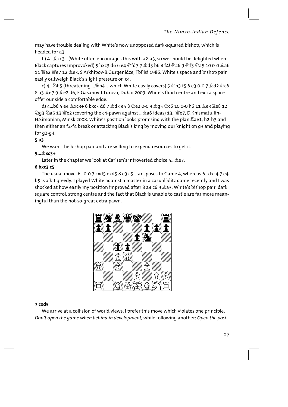may have trouble dealing with White's now unopposed dark-squared bishop, which is headed for a3.

b) 4... \$xc3+ (White often encourages this with a2-a3, so we should be delighted when Black captures unprovoked) 5 bxc3 d6 6 e4 公fd7 7 gd3 b6 8 f4! 公c6 9 公f3 公a5 10 0-0 ga6 11 We2 We7 12 文e3, S.Arkhipov-B.Gurgenidze, Tbilisi 1986. White's space and bishop pair easily outweigh Black's slight pressure on c4.

c) 4...公h5 (threatening ...圏h4+, which White easily covers) 5 公h3 f5 6 e3 0-0 7 奠d2 公c6 8 a3 2e7 9 2e2 d6, E.Gasanov-I.Turova, Dubai 2009. White's fluid centre and extra space offer our side a comfortable edge.

d) 4...b6 5 e4 \$xc3+ 6 bxc3 d6 7 \$d3 e5 8 \e2 0-0 9 \$q5 \c6 10 0-0 h6 11 \$e3 \e8 12 ②g3 ②a5 13 ��e2 (covering the c4-pawn against ... La6 ideas) 13... ��e7, D.Khismatullin-H.Simonian, Minsk 2008. White's position looks promising with the plan Lae1, h2-h3 and then either an f2-f4 break or attacking Black's king by moving our knight on g3 and playing for  $q2-q4$ .

#### $5a3$

We want the bishop pair and are willing to expend resources to get it.

## $5...$   $2xC3+$

Later in the chapter we look at Carlsen's introverted choice 5... Le7.

## 6 bxc3 c5

The usual move. 6... 0-0 7 cxd5 exd5 8 e3 c5 transposes to Game 4, whereas 6... dxc4 7 e4 b5 is a bit greedy. I played White against a master in a casual blitz game recently and I was shocked at how easily my position improved after 8 a4 c6 9 2a3. White's bishop pair, dark square control, strong centre and the fact that Black is unable to castle are far more meaningful than the not-so-great extra pawn.



## $7 cxd5$

We arrive at a collision of world views. I prefer this move which violates one principle: Don't open the game when behind in development, while following another: Open the posi-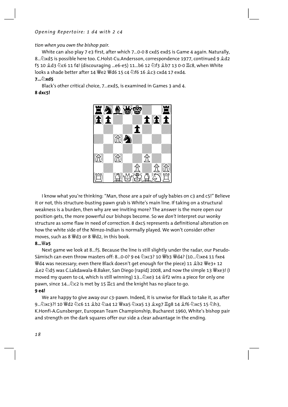tion when you own the bishop pair.

White can also play 7 e3 first, after which 7...0-0 8 cxd5 exd5 is Game 4 again. Naturally, 8...  $\&$ xd5 is possible here too. C.Holst-Cu.Andersson, correspondence 1977, continued 9  $\&$ d2 f5 10 2d3 2c6 11 f4! (discouraging ...e6-e5) 11...b6 12 2f3 2b7 13 0-0 Ec8, when White looks a shade better after 14 豐e2 豐d6 15 c4 公f6 16 拿c3 cxd4 17 exd4.

#### $7...\&$  xd5

Black's other critical choice, 7...exd5, is examined in Games 3 and 4. 8 dxc5!



I know what you're thinking: "Man, those are a pair of ugly babies on c3 and c5!" Believe it or not, this structure-busting pawn grab is White's main line. If taking on a structural weakness is a burden, then why are we inviting more? The answer is the more open our position gets, the more powerful our bishops become. So we don't interpret our wonky structure as some flaw in need of correction. 8 dxc5 represents a definitional alteration on how the white side of the Nimzo-Indian is normally played. We won't consider other moves, such as 8 Wd3 or 8 Wd2, in this book.

#### $8.4425$

Next game we look at 8...f5. Because the line is still slightly under the radar, our Pseudo-Sämisch can even throw masters off: 8...0-0? 9 e4  $\&$ xc3? 10  $\&$ b3  $\&$ d4? (10... $\&$ xe4 11 fxe4 *Weda was necessary*; even there Black doesn't get enough for the piece) 11 Qb2 *We3*+ 12 ହe2 ⁄ોd5 was C.Lakdawala-B.Baker, San Diego (rapid) 2008, and now the simple 13 Wye3! (I moved my queen to c4, which is still winning) 13... 2xe3 14 \$f2 wins a piece for only one pawn, since 14... $\&$ c2 is met by 15  $\&$ c1 and the knight has no place to go. 9 e4!

We are happy to give away our c3-pawn. Indeed, it is unwise for Black to take it, as after K.Honfi-A.Gunsberger, European Team Championship, Bucharest 1960, White's bishop pair and strength on the dark squares offer our side a clear advantage in the ending.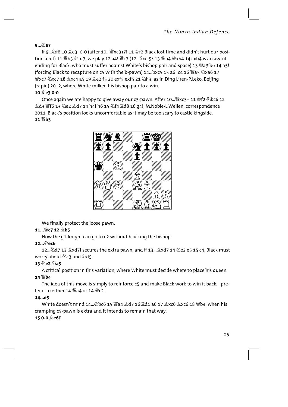# 9... De7

If 9... 16 10 2e3! 0-0 (after 10... Fxc3+?! 11 \$f2 Black lost time and didn't hurt our position a bit) 11 營b3 公fd7, we play 12 a4! 營c7 (12...公xc5? 13 營b4 營xb4 14 cxb4 is an awful ending for Black, who must suffer against White's bishop pair and space) 13 Wa3 b6 14 a5! (forcing Black to recapture on c5 with the b-pawn) 14...bxc5 15 a6! c4 16  $\cong$ a5  $\&$ xa6 17 sky7 ۞xc7 18 \$xc4 a5 19 \$e2 f5 20 exf5 exf5 21 ۞h3, as in Ding Liren-P.Leko, Beijing ¥ (rapid) 2012, where White milked his bishop pair to a win.

#### 10 **Le3** 0-0

Once again we are happy to give away our c3-pawn. After 10... We xc3+ 11 \$f2 ۞ bc6 12 鱼d3 曾f6 13 公e2 鱼d7 14 h4! h6 15 公f4 骂d8 16 q4!, M.Noble-L.Wellen, correspondence 2011, Black's position looks uncomfortable as it may be too scary to castle kingside. 11 營b3



We finally protect the loose pawn.

## 11... *Wer* 12 <sup>金</sup>b5

Now the g1-knight can go to e2 without blocking the bishop.

## $12\sqrt{2}$ ec6

worry about 2c3 and 2d5.

## $13\sqrt[6]{2\sqrt[6]{3}}$ a5

A critical position in this variation, where White must decide where to place his queen.

## 14 Wb4

The idea of this move is simply to reinforce c5 and make Black work to win it back. I prefer it to either 14  $\mathcal{W}$ a4 or 14  $\mathcal{W}$ c2

## $14...e5$

cramping c5-pawn is extra and it intends to remain that way.

## 15 0-0 奠e6?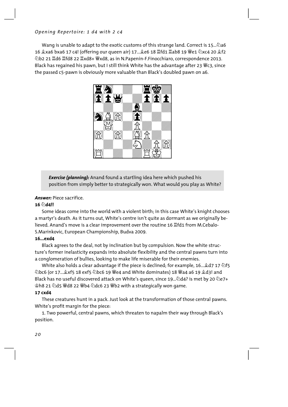Wang is unable to adapt to the exotic customs of this strange land. Correct is 15...  $\triangle$ a6 16 gxa6 bxa6 17 c4! (offering our queen air) 17... ge6 18 Hfd1 Hab8 19 曾e1 ②xc4 20 gf2 ②b2 21 Id6 Ifd8 22 Ixd8+ Wxd8, as in N.Papenin-F.Finocchiaro, correspondence 2013. Black has reqained his pawn, but I still think White has the advantage after 23 We3, since the passed c5-pawn is obviously more valuable than Black's doubled pawn on a6.



**Exercise (planning):** Anand found a startling idea here which pushed his position from simply better to strategically won. What would you play as White?

#### **Answer:** Piece sacrifice.

#### 16 ad4!!

Some ideas come into the world with a violent birth; in this case White's knight chooses a martyr's death. As it turns out, White's centre isn't quite as dormant as we originally believed. Anand's move is a clear improvement over the routine 16  $\mathbb{Z}$ fd1 from M.Cebalo-S.Marinkovic, European Championship, Budva 2009.

#### $16...exda$

Black agrees to the deal, not by inclination but by compulsion. Now the white structure's former inelasticity expands into absolute flexibility and the central pawns turn into a conglomeration of bullies, looking to make life miserable for their enemies.

White also holds a clear advantage if the piece is declined; for example, 16...  $\&$  d7 17  $\&$  f5 Black has no useful discovered attack on White's queen, since 19... 2d4? is met by 20 2e7+ 拿h8 21 公d5 曾d8 22 曾b4 公dc6 23 曾b2 with a strategically won game.

#### 17 cxd4

These creatures hunt in a pack. Just look at the transformation of those central pawns. White's profit margin for the piece:

1. Two powerful, central pawns, which threaten to napalm their way through Black's position.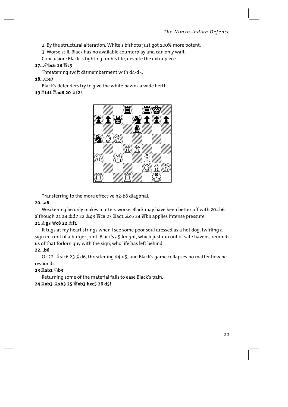2. By the structural alteration, White's bishops just got 100% more potent.

3. Worse still, Black has no available counterplay and can only wait.

Conclusion: Black is fighting for his life, despite the extra piece.

#### 17... bc6 18 響c3

Threatening swift dismemberment with d4-d5.

18…②e7

Black's defenders try to give the white pawns a wide berth.

# 19 骂fd1 骂ad8 20 <sup>食f2!</sup>



Transferring to the more effective h2-b8 diagonal.

## $20...a6$

Weakening b6 only makes matters worse. Black may have been better off with 20...b6, although 21 a4 盒d7 22 盒g3 響c8 23 ac1 盒c6 24 響b4 applies intense pressure.

## 21 g3 Wc8 22 gf1

It tugs at my heart strings when I see some poor soul dressed as a hot dog, twirling a sign in front of a burger joint. Black's a5-knight, which just ran out of safe havens, reminds us of that forlorn quy with the sign, who life has left behind.

## $22...b6$

Or 22... 2 ac6 23 & d6, threatening d4-d5, and Black's game collapses no matter how he responds.

## $23$   $\underline{\phantom{0}}$ ab1 $\ddot{\phantom{0}}$ b3

Returning some of the material fails to ease Black's pain.

## 24 耳xb3 拿xb3 25 豐xb3 bxc5 26 d5!